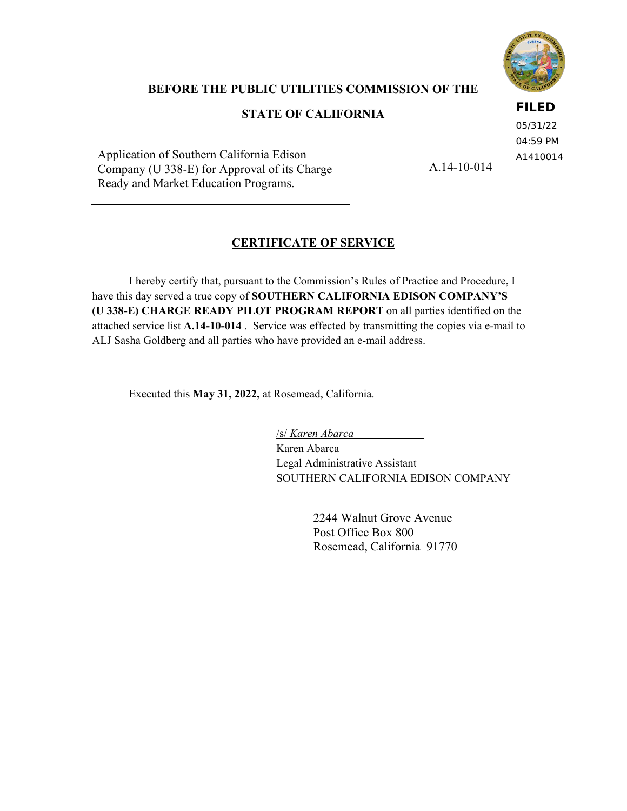

# **BEFORE THE PUBLIC UTILITIES COMMISSION OF THE**

# **STATE OF CALIFORNIA**

### **FILED**

05/31/22 04:59 PM A1410014

Application of Southern California Edison Company (U 338-E) for Approval of its Charge Ready and Market Education Programs.

A.14-10-014

# **CERTIFICATE OF SERVICE**

I hereby certify that, pursuant to the Commission's Rules of Practice and Procedure, I have this day served a true copy of **SOUTHERN CALIFORNIA EDISON COMPANY'S (U 338-E) CHARGE READY PILOT PROGRAM REPORT** on all parties identified on the attached service list **A.14-10-014** . Service was effected by transmitting the copies via e-mail to ALJ Sasha Goldberg and all parties who have provided an e-mail address.

Executed this **May 31, 2022,** at Rosemead, California.

/s/ *Karen Abarca* 

Karen Abarca Legal Administrative Assistant SOUTHERN CALIFORNIA EDISON COMPANY

> 2244 Walnut Grove Avenue Post Office Box 800 Rosemead, California 91770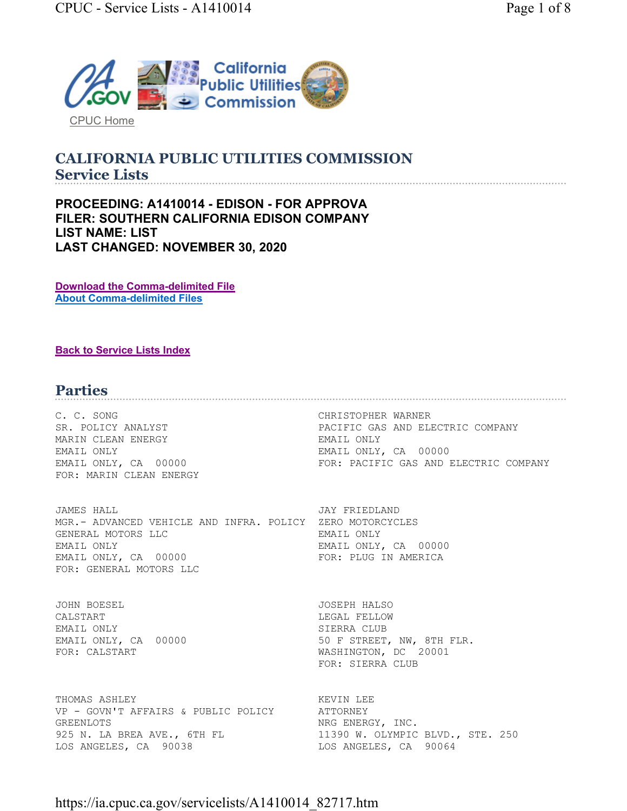

#### **CALIFORNIA PUBLIC UTILITIES COMMISSION Service Lists**

**PROCEEDING: A1410014 - EDISON - FOR APPROVA FILER: SOUTHERN CALIFORNIA EDISON COMPANY LIST NAME: LIST LAST CHANGED: NOVEMBER 30, 2020** 

**Download the Comma-delimited File About Comma-delimited Files** 

#### **Back to Service Lists Index**

# **Parties**

C. C. SONG CHRISTOPHER WARNER MARIN CLEAN ENERGY **EMAIL ONLY** EMAIL ONLY EMAIL ONLY, CA 00000 FOR: MARIN CLEAN ENERGY

JAMES HALL JAY FRIEDLAND MGR.- ADVANCED VEHICLE AND INFRA. POLICY ZERO MOTORCYCLES GENERAL MOTORS LLC **EMAIL ONLY** EMAIL ONLY EMAIL ONLY, CA 00000 EMAIL ONLY, CA 00000 FOR: PLUG IN AMERICA FOR: GENERAL MOTORS LLC

JOHN BOESEL JOSEPH HALSO CALSTART CALSTART CALSTART CALSTART CALSTART CALSTART CALSTART CALL FELLOW EMAIL ONLY SIERRA CLUB FOR: CALSTART WASHINGTON, DC 20001

THOMAS ASHLEY **EXECUTE AS INCLUSIVE ASSESSMENT CONTRACT OF A SECOND ASSESSMENT CONTRACT OF A SECOND LET A** VP - GOVN'T AFFAIRS & PUBLIC POLICY ATTORNEY GREENLOTS NRG ENERGY, INC. 925 N. LA BREA AVE., 6TH FL 11390 W. OLYMPIC BLVD., STE. 250 LOS ANGELES, CA 90038 LOS ANGELES, CA 90064

SR. POLICY ANALYST **PACIFIC GAS AND ELECTRIC COMPANY** EMAIL ONLY, CA 00000 FOR: PACIFIC GAS AND ELECTRIC COMPANY

EMAIL ONLY, CA 00000 50 F STREET, NW, 8TH FLR. FOR: SIERRA CLUB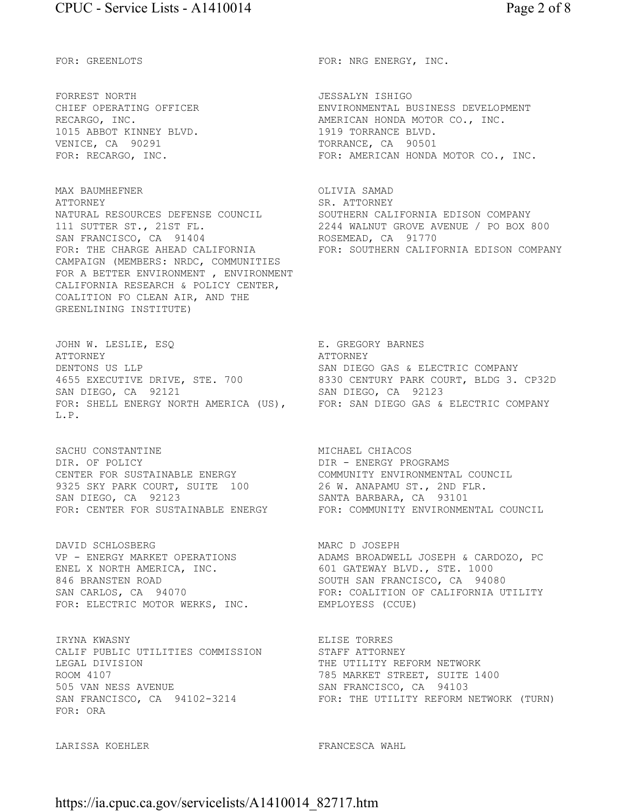FORREST NORTH **JESSALYN** ISHIGO 1015 ABBOT KINNEY BLVD. 1919 TORRANCE BLVD. VENICE, CA 90291 TORRANCE, CA 90501

MAX BAUMHEFNER **OLIVIA SAMAD** ATTORNEY SR. ATTORNEY<br>NATURAL RESOURCES DEFENSE COUNCIL SOUTHERN CAL NATURAL RESOURCES DEFENSE COUNCIL SOUTHERN CALIFORNIA EDISON COMPANY SAN FRANCISCO, CA 91404 ROSEMEAD, CA 91770 CAMPAIGN (MEMBERS: NRDC, COMMUNITIES FOR A BETTER ENVIRONMENT , ENVIRONMENT CALIFORNIA RESEARCH & POLICY CENTER, COALITION FO CLEAN AIR, AND THE GREENLINING INSTITUTE)

JOHN W. LESLIE, ESQ SARIES E. GREGORY BARNES ATTORNEY ATTORNEY DENTONS US LLP SAN DIEGO GAS & ELECTRIC COMPANY SAN DIEGO, CA 92121 SAN DIEGO, CA 92123 FOR: SHELL ENERGY NORTH AMERICA (US), FOR: SAN DIEGO GAS & ELECTRIC COMPANY L.P.

SACHU CONSTANTINE MICHAEL CHIACOS DIR. OF POLICY **Example 20 Finally State Contract Programs** CENTER FOR SUSTAINABLE ENERGY COMMUNITY ENVIRONMENTAL COUNCIL 9325 SKY PARK COURT, SUITE 100 26 W. ANAPAMU ST., 2ND FLR. SAN DIEGO, CA 92123 SANTA BARBARA, CA 93101

DAVID SCHLOSBERG MARC D JOSEPH ENEL X NORTH AMERICA, INC. 846 BRANSTEN ROAD SOUTH SAN FRANCISCO, CA 94080 FOR: ELECTRIC MOTOR WERKS, INC. EMPLOYESS (CCUE)

IRYNA KWASNY ELISE TORRES CALIF PUBLIC UTILITIES COMMISSION STAFF ATTORNEY LEGAL DIVISION THE UTILITY REFORM NETWORK SAN FRANCISCO, CA 94102-3214 FOR: ORA

LARISSA KOEHLER FRANCESCA WAHL

FOR: GREENLOTS FOR: NRG ENERGY, INC.

CHIEF OPERATING OFFICER ENVIRONMENTAL BUSINESS DEVELOPMENT RECARGO, INC. THE RECARGO MERICAN HONDA MOTOR CO., INC. FOR: RECARGO, INC. THE RECARGO RECARGO FOR: AMERICAN HONDA MOTOR CO., INC.

111 SUTTER ST., 21ST FL. 2244 WALNUT GROVE AVENUE / PO BOX 800 FOR: THE CHARGE AHEAD CALIFORNIA FOR: SOUTHERN CALIFORNIA EDISON COMPANY

4655 EXECUTIVE DRIVE, STE. 700 8330 CENTURY PARK COURT, BLDG 3. CP32D

FOR: CENTER FOR SUSTAINABLE ENERGY FOR: COMMUNITY ENVIRONMENTAL COUNCIL

ADAMS BROADWELL JOSEPH & CARDOZO, PC<br>601 GATEWAY BLVD., STE. 1000 SAN CARLOS, CA 94070 FOR: COALITION OF CALIFORNIA UTILITY

785 MARKET STREET, SUITE 1400 505 VAN NESS AVENUE<br>
SAN FRANCISCO, CA 94102-3214 FOR: THE UTILITY REFORM NETWORK (TURN)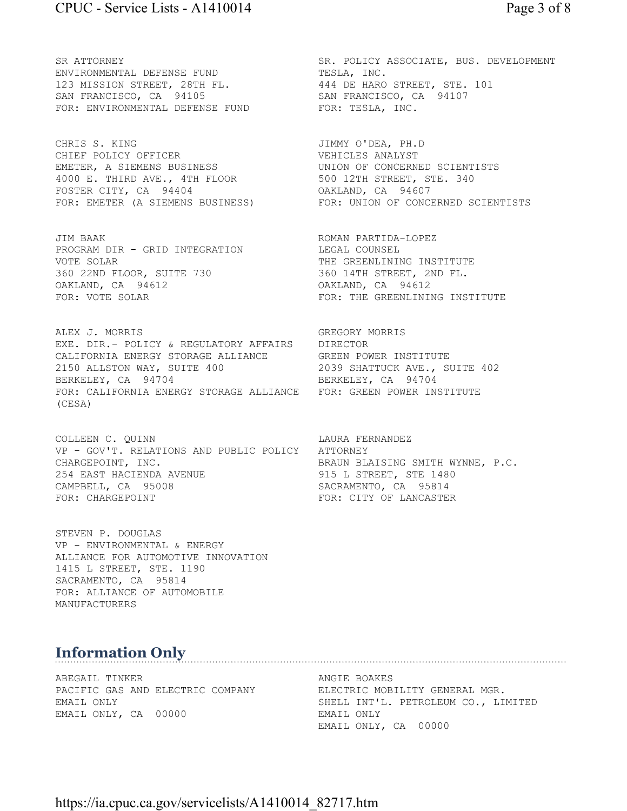ENVIRONMENTAL DEFENSE FUND<br>123 MISSION STREET, 28TH FL. 344 DE HARO STREET, STE. 101<br>SAN FRANCISCO, CA 34105 123 MISSION STREET, 28TH FL. 444 DE HARO STREET, STE. 101 SAN FRANCISCO, CA 94105 SAN FRANCISCO, CA 94107 FOR: ENVIRONMENTAL DEFENSE FUND FOR: TESLA, INC.

CHRIS S. KING JIMMY O'DEA, PH.D CHIEF POLICY OFFICER **VEHICLES** ANALYST EMETER, A SIEMENS BUSINESS UNION OF CONCERNED SCIENTISTS 4000 E. THIRD AVE., 4TH FLOOR 500 12TH STREET, STE. 340 FOSTER CITY, CA 94404 OAKLAND, CA 94607

JIM BAAK ROMAN PARTIDA-LOPEZ PROGRAM DIR - GRID INTEGRATION LEGAL COUNSEL VOTE SOLAR THE GREENLINING INSTITUTE 360 22ND FLOOR, SUITE 730 360 14TH STREET, 2ND FL. OAKLAND, CA 94612 OAKLAND, CA 94612

ALEX J. MORRIS GREGORY MORRIS EXE. DIR.- POLICY & REGULATORY AFFAIRS DIRECTOR CALIFORNIA ENERGY STORAGE ALLIANCE GREEN POWER INSTITUTE 2150 ALLSTON WAY, SUITE 400 2039 SHATTUCK AVE., SUITE 402 BERKELEY, CA 94704 BERKELEY, CA 94704 FOR: CALIFORNIA ENERGY STORAGE ALLIANCE FOR: GREEN POWER INSTITUTE (CESA)

COLLEEN C. QUINN **LAURA FERNANDEZ** VP - GOV'T. RELATIONS AND PUBLIC POLICY ATTORNEY CHARGEPOINT, INC. THE SERAUN BLAISING SMITH WYNNE, P.C. 254 EAST HACIENDA AVENUE 1915 L STREET, STE 1480 CAMPBELL, CA 95008 SACRAMENTO, CA 95814 FOR: CHARGEPOINT FOR: CITY OF LANCASTER

STEVEN P. DOUGLAS VP - ENVIRONMENTAL & ENERGY ALLIANCE FOR AUTOMOTIVE INNOVATION 1415 L STREET, STE. 1190 SACRAMENTO, CA 95814 FOR: ALLIANCE OF AUTOMOBILE MANUFACTURERS

# SR ATTORNEY SR. POLICY ASSOCIATE, BUS. DEVELOPMENT

FOR: EMETER (A SIEMENS BUSINESS) FOR: UNION OF CONCERNED SCIENTISTS

FOR: VOTE SOLAR **FOR: THE GREENLINING INSTITUTE** 

# **Information Only**

ABEGAIL TINKER **ANGIE BOAKES** PACIFIC GAS AND ELECTRIC COMPANY ELECTRIC MOBILITY GENERAL MGR. EMAIL ONLY, CA 00000 EMAIL ONLY

EMAIL ONLY SHELL INT'L. PETROLEUM CO., LIMITED EMAIL ONLY, CA 00000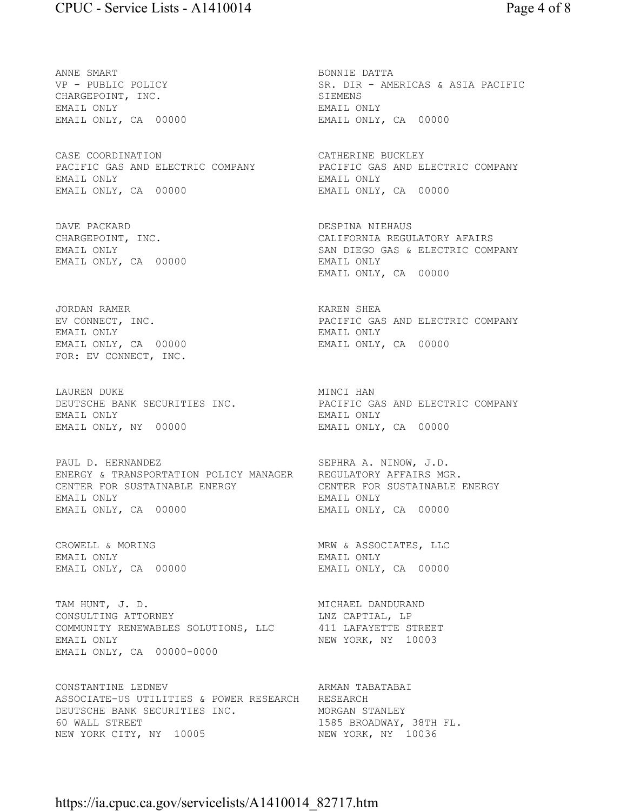ANNE SMART BONNIE DATTA CHARGEPOINT, INC. SIEMENS EMAIL ONLY EMAIL ONLY EMAIL ONLY, CA 00000 EMAIL ONLY, CA 00000

CASE COORDINATION CATHERINE BUCKLEY PACIFIC GAS AND ELECTRIC COMPANY PACIFIC GAS AND ELECTRIC COMPANY EMAIL ONLY EMAIL ONLY EMAIL ONLY, CA 00000 EMAIL ONLY, CA 00000

DAVE PACKARD DESPINA NIEHAUS EMAIL ONLY, CA 00000 EMAIL ONLY

JORDAN RAMER NAMER SHEA EMAIL ONLY EMAIL ONLY FOR: EV CONNECT, INC.

LAUREN DUKE NAMINCI HAN MINCI HAN EMAIL ONLY EMAIL ONLY EMAIL ONLY, NY 00000 EMAIL ONLY, CA 00000

PAUL D. HERNANDEZ SEPHRA A. NINOW, J.D. ENERGY & TRANSPORTATION POLICY MANAGER REGULATORY AFFAIRS MGR. CENTER FOR SUSTAINABLE ENERGY **CENTER FOR SUSTAINABLE ENERGY** EMAIL ONLY EMAIL ONLY EMAIL ONLY, CA 00000 EMAIL ONLY, CA 00000

CROWELL & MORING  $MRW$  & ASSOCIATES, LLC EMAIL ONLY, CA 00000 EMAIL ONLY, CA 00000

TAM HUNT, J. D. SALE AND MICHAEL DANDURAND CONSULTING ATTORNEY LARGED LINZ CAPTIAL, LP COMMUNITY RENEWABLES SOLUTIONS, LLC 411 LAFAYETTE STREET EMAIL ONLY **NEW YORK, NY 10003** EMAIL ONLY, CA 00000-0000

CONSTANTINE LEDNEV **ARMAN TABATABAI** ASSOCIATE-US UTILITIES & POWER RESEARCH RESEARCH DEUTSCHE BANK SECURITIES INC. MORGAN STANLEY 60 WALL STREET<br>
NEW YORK CITY, NY 10005 1585 BROADWAY, 38TH FL. NEW YORK CITY, NY 10005

SR. DIR - AMERICAS & ASIA PACIFIC

CALIFORNIA REGULATORY AFAIRS EMAIL ONLY SAN DIEGO GAS & ELECTRIC COMPANY EMAIL ONLY, CA 00000

EV CONNECT, INC. PACIFIC GAS AND ELECTRIC COMPANY EMAIL ONLY, CA 00000 EMAIL ONLY, CA 00000

DEUTSCHE BANK SECURITIES INC. THE PACIFIC GAS AND ELECTRIC COMPANY

EMAIL ONLY EMAIL ONLY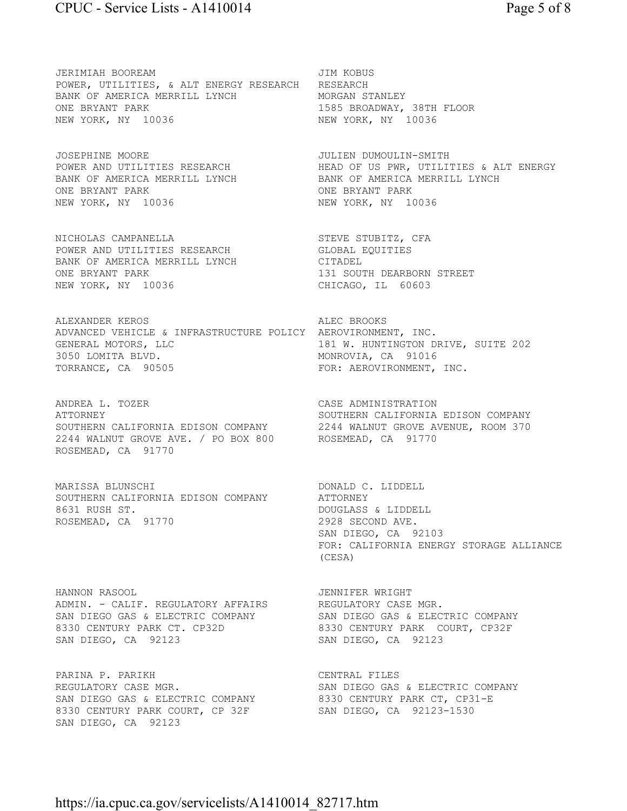JERIMIAH BOOREAM JIM KOBUS POWER, UTILITIES, & ALT ENERGY RESEARCH RESEARCH BANK OF AMERICA MERRILL LYNCH MORGAN STANLEY ONE BRYANT PARK 1585 BROADWAY, 38TH FLOOR NEW YORK, NY 10036 NEW YORK, NY 10036

JOSEPHINE MOORE JULIEN DUMOULIN-SMITH BANK OF AMERICA MERRILL LYNCH BANK OF AMERICA MERRILL LYNCH ONE BRYANT PARK **ONE BRYANT PARK** NEW YORK, NY 10036 NEW YORK, NY 10036

NICHOLAS CAMPANELLA STEVE STUBITZ, CFA POWER AND UTILITIES RESEARCH GLOBAL EQUITIES BANK OF AMERICA MERRILL LYNCH CITADEL ONE BRYANT PARK 131 SOUTH DEARBORN STREET NEW YORK, NY 10036 CHICAGO, IL 60603

ALEXANDER KEROS ALEC BROOKS ADVANCED VEHICLE & INFRASTRUCTURE POLICY AEROVIRONMENT, INC. GENERAL MOTORS, LLC **181 W. HUNTINGTON DRIVE, SUITE 202** 3050 LOMITA BLVD. NOW MONROVIA, CA 91016 TORRANCE, CA 90505 FOR: AEROVIRONMENT, INC.

ANDREA L. TOZER CASE ADMINISTRATION ATTORNEY SOUTHERN CALIFORNIA EDISON COMPANY SOUTHERN CALIFORNIA EDISON COMPANY 2244 WALNUT GROVE AVENUE, ROOM 370 2244 WALNUT GROVE AVE. / PO BOX 800 ROSEMEAD, CA 91770 ROSEMEAD, CA 91770

MARISSA BLUNSCHI DONALD C. LIDDELL SOUTHERN CALIFORNIA EDISON COMPANY ATTORNEY 8631 RUSH ST. **DOUGLASS & LIDDELL** ROSEMEAD, CA 91770 2928 SECOND AVE.

HANNON RASOOL JENNIFER WRIGHT ADMIN. - CALIF. REGULATORY AFFAIRS REGULATORY CASE MGR. SAN DIEGO GAS & ELECTRIC COMPANY SAN DIEGO GAS & ELECTRIC COMPANY 8330 CENTURY PARK CT. CP32D 8330 CENTURY PARK COURT, CP32F SAN DIEGO, CA 92123 SAN DIEGO, CA 92123

REGULATORY CASE MGR. SAN DIEGO GAS & ELECTRIC COMPANY SAN DIEGO GAS & ELECTRIC COMPANY 6330 CENTURY PARK CT, CP31-E 8330 CENTURY PARK COURT, CP 32F SAN DIEGO, CA 92123-1530 SAN DIEGO, CA 92123

POWER AND UTILITIES RESEARCH **HEAD OF US PWR, UTILITIES & ALT ENERGY** 

SAN DIEGO, CA 92103 FOR: CALIFORNIA ENERGY STORAGE ALLIANCE (CESA)

PARINA P. PARIKH CENTRAL FILES<br>REGULATORY CASE MGR. THE SAN DIEGO GAS & ELECTRIC COMPANY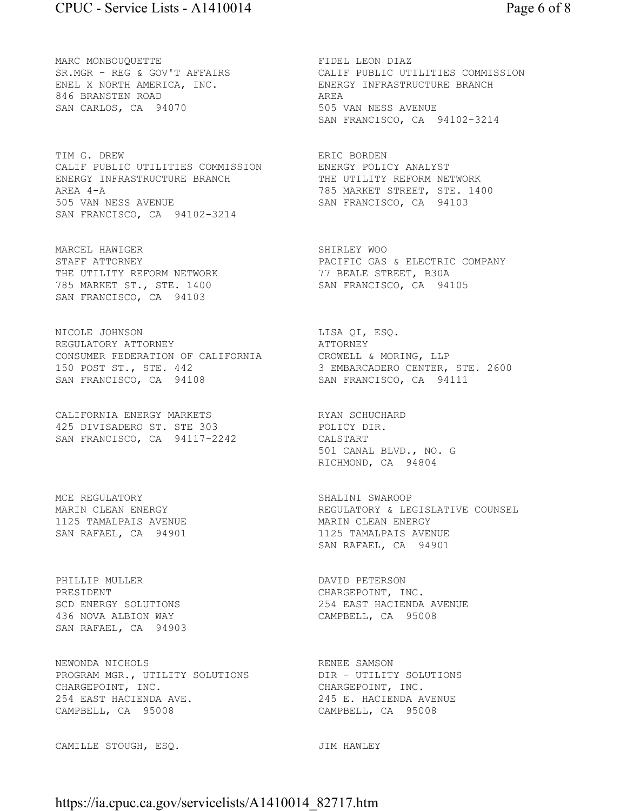MARC MONBOUOUETTE **FIDEL LEON DIAZ** 846 BRANSTEN ROAD AREA SAN CARLOS, CA 94070 505 VAN NESS AVENUE

TIM G. DREW **ERIC BORDEN** CALIF PUBLIC UTILITIES COMMISSION ENERGY POLICY ANALYST ENERGY INFRASTRUCTURE BRANCH AREA 4-A 785 MARKET STREET, STE. 1400 505 VAN NESS AVENUE SAN FRANCISCO, CA 94103 SAN FRANCISCO, CA 94102-3214

MARCEL HAWIGER SHIRLEY WOO THE UTILITY REFORM NETWORK 785 MARKET ST., STE. 1400 SAN FRANCISCO, CA 94105 SAN FRANCISCO, CA 94103

NICOLE JOHNSON LISA QI, ESQ. REGULATORY ATTORNEY **ATTORNEY** CONSUMER FEDERATION OF CALIFORNIA CROWELL & MORING, LLP 150 POST ST., STE. 442 3 EMBARCADERO CENTER, STE. 2600 SAN FRANCISCO, CA 94108 SAN FRANCISCO, CA 94111

CALIFORNIA ENERGY MARKETS **EXALL SERVAN SCHUCHARD** 425 DIVISADERO ST. STE 303 POLICY DIR. SAN FRANCISCO, CA 94117-2242 CALSTART

MCE REGULATORY **SHALINI SWAROOP** 1125 TAMALPAIS AVENUE **MARIN CLEAN ENERGY** SAN RAFAEL, CA 94901 1125 TAMALPAIS AVENUE

PHILLIP MULLER **DAVID PETERSON** PRESIDENT CHARGEPOINT, INC. 436 NOVA ALBION WAY CAMPBELL, CA 95008 SAN RAFAEL, CA 94903

NEWONDA NICHOLS **RENEE SAMSON** PROGRAM MGR., UTILITY SOLUTIONS DIR - UTILITY SOLUTIONS CHARGEPOINT, INC.<br>
254 EAST HACIENDA AVE.<br>
245 E. HACIENDA A CAMPBELL, CA 95008 CAMPBELL, CA 95008

CAMILLE STOUGH, ESQ. **JIM HAWLEY** 

SR.MGR - REG & GOV'T AFFAIRS CALIF PUBLIC UTILITIES COMMISSION ENEL X NORTH AMERICA, INC. THE SENERGY INFRASTRUCTURE BRANCH SAN FRANCISCO, CA 94102-3214

STAFF ATTORNEY FACIFIC GAS & ELECTRIC COMPANY<br>THE UTILITY REFORM NETWORK THE 77 BEALE STREET, B30A

501 CANAL BLVD., NO. G RICHMOND, CA 94804

MARIN CLEAN ENERGY **REGULATORY & LEGISLATIVE COUNSEL** SAN RAFAEL, CA 94901

254 EAST HACIENDA AVENUE

245 E. HACIENDA AVENUE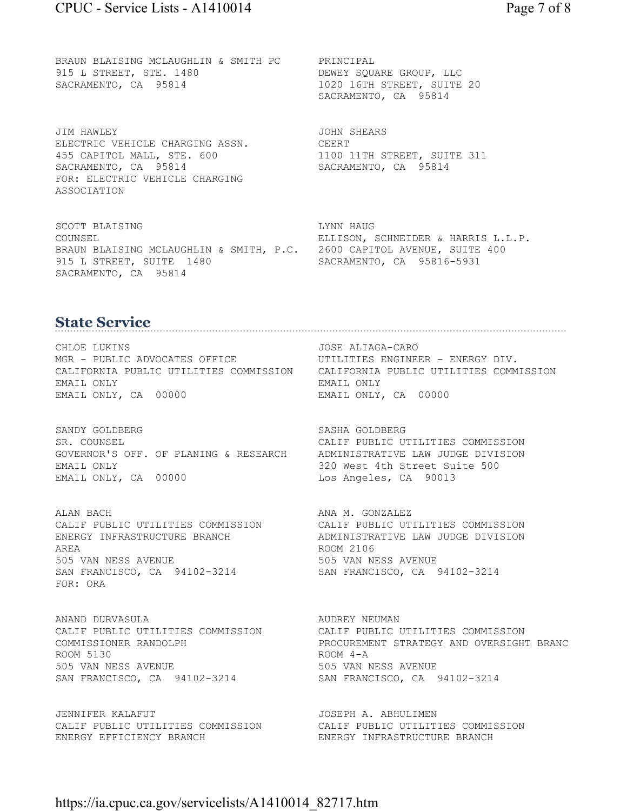BRAUN BLAISING MCLAUGHLIN & SMITH PC PRINCIPAL 915 L STREET, STE. 1480 DEWEY SQUARE GROUP, LLC SACRAMENTO, CA 95814 1020 16TH STREET, SUITE 20

JIM HAWLEY JOHN SHEARS ELECTRIC VEHICLE CHARGING ASSN. CEERT 455 CAPITOL MALL, STE. 600 1100 11TH STREET, SUITE 311 SACRAMENTO, CA 95814 SACRAMENTO, CA 95814 FOR: ELECTRIC VEHICLE CHARGING ASSOCIATION

SCOTT BLAISING LYNN HAUG COUNSEL ELLISON, SCHNEIDER & HARRIS L.L.P. BRAUN BLAISING MCLAUGHLIN & SMITH, P.C. 2600 CAPITOL AVENUE, SUITE 400 915 L STREET, SUITE 1480 SACRAMENTO, CA 95816-5931 SACRAMENTO, CA 95814

SACRAMENTO, CA 95814

# **State Service**

CHLOE LUKINS JOSE ALIAGA-CARO MGR - PUBLIC ADVOCATES OFFICE UTILITIES ENGINEER - ENERGY DIV. EMAIL ONLY EMAIL ONLY EMAIL ONLY, CA 00000 EMAIL ONLY, CA 00000

SANDY GOLDBERG SASHA GOLDBERG SR. COUNSEL CALIF PUBLIC UTILITIES COMMISSION GOVERNOR'S OFF. OF PLANING & RESEARCH ADMINISTRATIVE LAW JUDGE DIVISION EMAIL ONLY 320 West 4th Street Suite 500 EMAIL ONLY, CA 00000 Los Angeles, CA 90013

ALAN BACH ANA M. GONZALEZ AREA ROOM 2106 505 VAN NESS AVENUE 505 VAN NESS AVENUE SAN FRANCISCO, CA 94102-3214 SAN FRANCISCO, CA 94102-3214 FOR: ORA

ANAND DURVASULA AUDREY NEUMAN ROOM 5130 ROOM 4-A 505 VAN NESS AVENUE 505 VAN NESS AVENUE SAN FRANCISCO, CA 94102-3214 SAN FRANCISCO, CA 94102-3214

JENNIFER KALAFUT **JOSEPH A. ABHULIMEN** CALIF PUBLIC UTILITIES COMMISSION CALIF PUBLIC UTILITIES COMMISSION ENERGY EFFICIENCY BRANCH ENERGY INFRASTRUCTURE BRANCH

CALIFORNIA PUBLIC UTILITIES COMMISSION CALIFORNIA PUBLIC UTILITIES COMMISSION

CALIF PUBLIC UTILITIES COMMISSION CALIF PUBLIC UTILITIES COMMISSION ENERGY INFRASTRUCTURE BRANCH ADMINISTRATIVE LAW JUDGE DIVISION

CALIF PUBLIC UTILITIES COMMISSION CALIF PUBLIC UTILITIES COMMISSION COMMISSIONER RANDOLPH PROCUREMENT STRATEGY AND OVERSIGHT BRANC